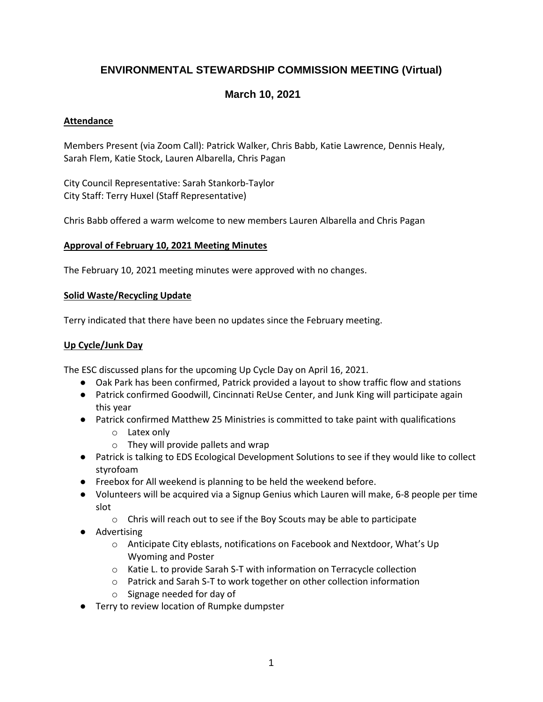# **ENVIRONMENTAL STEWARDSHIP COMMISSION MEETING (Virtual)**

# **March 10, 2021**

# **Attendance**

Members Present (via Zoom Call): Patrick Walker, Chris Babb, Katie Lawrence, Dennis Healy, Sarah Flem, Katie Stock, Lauren Albarella, Chris Pagan

City Council Representative: Sarah Stankorb-Taylor City Staff: Terry Huxel (Staff Representative)

Chris Babb offered a warm welcome to new members Lauren Albarella and Chris Pagan

# **Approval of February 10, 2021 Meeting Minutes**

The February 10, 2021 meeting minutes were approved with no changes.

### **Solid Waste/Recycling Update**

Terry indicated that there have been no updates since the February meeting.

# **Up Cycle/Junk Day**

The ESC discussed plans for the upcoming Up Cycle Day on April 16, 2021.

- Oak Park has been confirmed, Patrick provided a layout to show traffic flow and stations
- Patrick confirmed Goodwill, Cincinnati ReUse Center, and Junk King will participate again this year
- Patrick confirmed Matthew 25 Ministries is committed to take paint with qualifications
	- o Latex only
	- $\circ$  They will provide pallets and wrap
- Patrick is talking to EDS Ecological Development Solutions to see if they would like to collect styrofoam
- Freebox for All weekend is planning to be held the weekend before.
- Volunteers will be acquired via a Signup Genius which Lauren will make, 6-8 people per time slot
	- o Chris will reach out to see if the Boy Scouts may be able to participate
- Advertising
	- o Anticipate City eblasts, notifications on Facebook and Nextdoor, What's Up Wyoming and Poster
	- o Katie L. to provide Sarah S-T with information on Terracycle collection
	- o Patrick and Sarah S-T to work together on other collection information
	- o Signage needed for day of
- Terry to review location of Rumpke dumpster